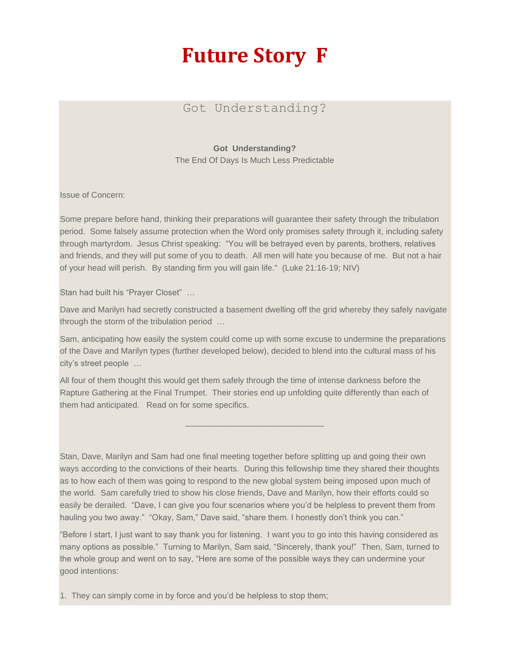## **Future Story F**

## Got Understanding?

## **Got Understanding?**

The End Of Days Is Much Less Predictable

Issue of Concern:

Some prepare before hand, thinking their preparations will guarantee their safety through the tribulation period. Some falsely assume protection when the Word only promises safety through it, including safety through martyrdom. Jesus Christ speaking: "You will be betrayed even by parents, brothers, relatives and friends, and they will put some of you to death. All men will hate you because of me. But not a hair of your head will perish. By standing firm you will gain life." (Luke 21:16-19; NIV)

Stan had built his "Prayer Closet" …

Dave and Marilyn had secretly constructed a basement dwelling off the grid whereby they safely navigate through the storm of the tribulation period …

Sam, anticipating how easily the system could come up with some excuse to undermine the preparations of the Dave and Marilyn types (further developed below), decided to blend into the cultural mass of his city's street people …

\_\_\_\_\_\_\_\_\_\_\_\_\_\_\_\_\_\_\_\_\_\_\_\_\_\_\_\_\_\_

All four of them thought this would get them safely through the time of intense darkness before the Rapture Gathering at the Final Trumpet. Their stories end up unfolding quite differently than each of them had anticipated. Read on for some specifics.

Stan, Dave, Marilyn and Sam had one final meeting together before splitting up and going their own ways according to the convictions of their hearts. During this fellowship time they shared their thoughts as to how each of them was going to respond to the new global system being imposed upon much of the world. Sam carefully tried to show his close friends, Dave and Marilyn, how their efforts could so easily be derailed. "Dave, I can give you four scenarios where you'd be helpless to prevent them from hauling you two away." "Okay, Sam," Dave said, "share them. I honestly don't think you can."

"Before I start, I just want to say thank you for listening. I want you to go into this having considered as many options as possible." Turning to Marilyn, Sam said, "Sincerely, thank you!" Then, Sam, turned to the whole group and went on to say, "Here are some of the possible ways they can undermine your good intentions:

1. They can simply come in by force and you'd be helpless to stop them;